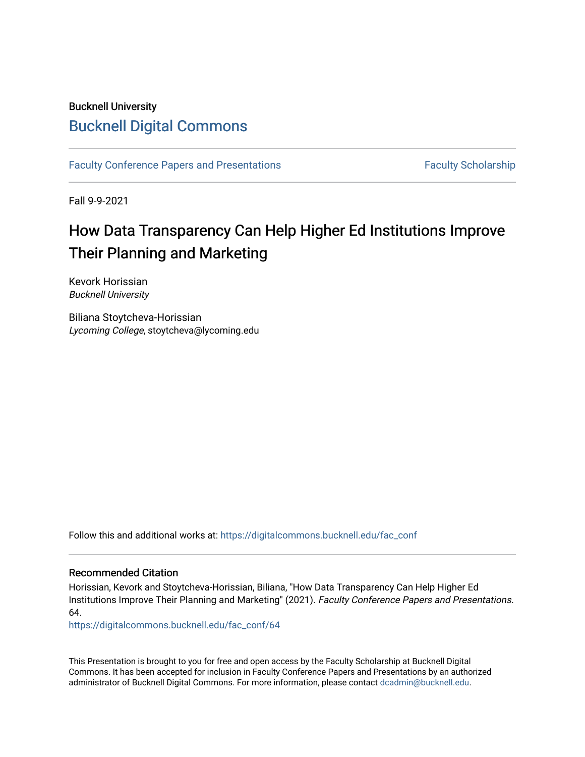## Bucknell University [Bucknell Digital Commons](https://digitalcommons.bucknell.edu/)

[Faculty Conference Papers and Presentations](https://digitalcommons.bucknell.edu/fac_conf) Faculty Scholarship

Fall 9-9-2021

## How Data Transparency Can Help Higher Ed Institutions Improve Their Planning and Marketing

Kevork Horissian Bucknell University

Biliana Stoytcheva-Horissian Lycoming College, stoytcheva@lycoming.edu

Follow this and additional works at: [https://digitalcommons.bucknell.edu/fac\\_conf](https://digitalcommons.bucknell.edu/fac_conf?utm_source=digitalcommons.bucknell.edu%2Ffac_conf%2F64&utm_medium=PDF&utm_campaign=PDFCoverPages) 

## Recommended Citation

Horissian, Kevork and Stoytcheva-Horissian, Biliana, "How Data Transparency Can Help Higher Ed Institutions Improve Their Planning and Marketing" (2021). Faculty Conference Papers and Presentations. 64.

[https://digitalcommons.bucknell.edu/fac\\_conf/64](https://digitalcommons.bucknell.edu/fac_conf/64?utm_source=digitalcommons.bucknell.edu%2Ffac_conf%2F64&utm_medium=PDF&utm_campaign=PDFCoverPages)

This Presentation is brought to you for free and open access by the Faculty Scholarship at Bucknell Digital Commons. It has been accepted for inclusion in Faculty Conference Papers and Presentations by an authorized administrator of Bucknell Digital Commons. For more information, please contact [dcadmin@bucknell.edu](mailto:dcadmin@bucknell.edu).